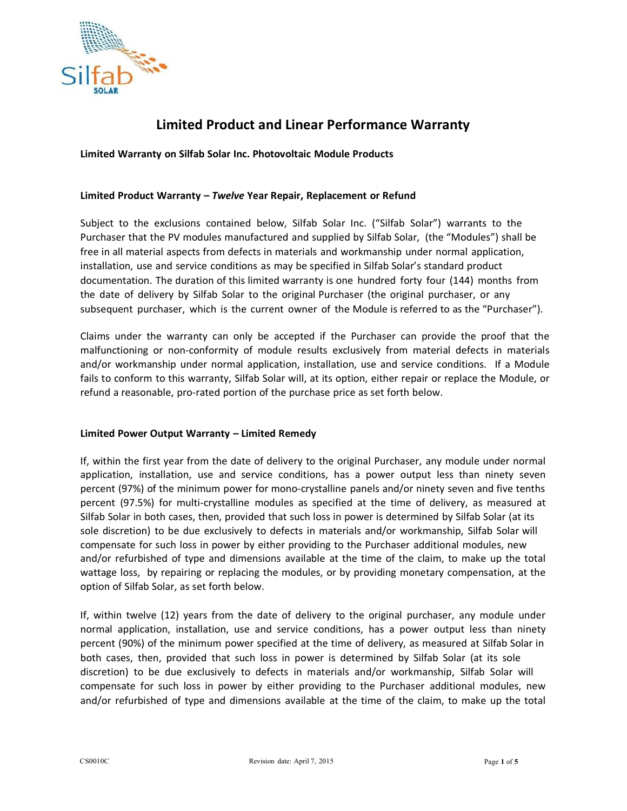

# **Limited Product and Linear Performance Warranty**

**Limited Warranty on Silfab Solar Inc. Photovoltaic Module Products**

# **Limited Product Warranty –** *Twelve* **Year Repair, Replacement or Refund**

Subject to the exclusions contained below, Silfab Solar Inc. ("Silfab Solar") warrants to the Purchaser that the PV modules manufactured and supplied by Silfab Solar, (the "Modules") shall be free in all material aspects from defects in materials and workmanship under normal application, installation, use and service conditions as may be specified in Silfab Solar's standard product documentation. The duration of this limited warranty is one hundred forty four (144) months from the date of delivery by Silfab Solar to the original Purchaser (the original purchaser, or any subsequent purchaser, which is the current owner of the Module is referred to as the "Purchaser").

Claims under the warranty can only be accepted if the Purchaser can provide the proof that the malfunctioning or non-conformity of module results exclusively from material defects in materials and/or workmanship under normal application, installation, use and service conditions. If a Module fails to conform to this warranty, Silfab Solar will, at its option, either repair or replace the Module, or refund a reasonable, pro-rated portion of the purchase price as set forth below.

# **Limited Power Output Warranty – Limited Remedy**

If, within the first year from the date of delivery to the original Purchaser, any module under normal application, installation, use and service conditions, has a power output less than ninety seven percent (97%) of the minimum power for mono-crystalline panels and/or ninety seven and five tenths percent (97.5%) for multi-crystalline modules as specified at the time of delivery, as measured at Silfab Solar in both cases, then, provided that such loss in power is determined by Silfab Solar (at its sole discretion) to be due exclusively to defects in materials and/or workmanship, Silfab Solar will compensate for such loss in power by either providing to the Purchaser additional modules, new and/or refurbished of type and dimensions available at the time of the claim, to make up the total wattage loss, by repairing or replacing the modules, or by providing monetary compensation, at the option of Silfab Solar, as set forth below.

If, within twelve (12) years from the date of delivery to the original purchaser, any module under normal application, installation, use and service conditions, has a power output less than ninety percent (90%) of the minimum power specified at the time of delivery, as measured at Silfab Solar in both cases, then, provided that such loss in power is determined by Silfab Solar (at its sole discretion) to be due exclusively to defects in materials and/or workmanship, Silfab Solar will compensate for such loss in power by either providing to the Purchaser additional modules, new and/or refurbished of type and dimensions available at the time of the claim, to make up the total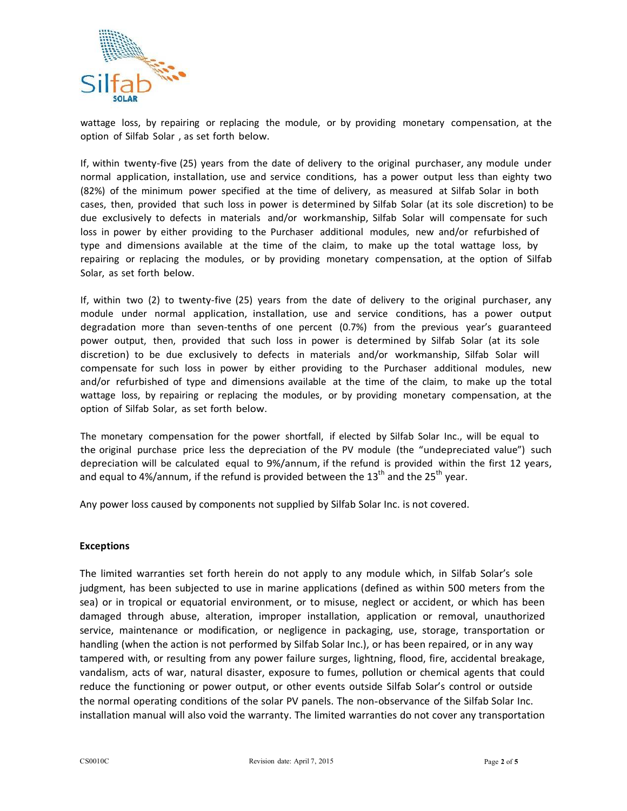

wattage loss, by repairing or replacing the module, or by providing monetary compensation, at the option of Silfab Solar , as set forth below.

If, within twenty-five (25) years from the date of delivery to the original purchaser, any module under normal application, installation, use and service conditions, has a power output less than eighty two (82%) of the minimum power specified at the time of delivery, as measured at Silfab Solar in both cases, then, provided that such loss in power is determined by Silfab Solar (at its sole discretion) to be due exclusively to defects in materials and/or workmanship, Silfab Solar will compensate for such loss in power by either providing to the Purchaser additional modules, new and/or refurbished of type and dimensions available at the time of the claim, to make up the total wattage loss, by repairing or replacing the modules, or by providing monetary compensation, at the option of Silfab Solar, as set forth below.

If, within two (2) to twenty-five (25) years from the date of delivery to the original purchaser, any module under normal application, installation, use and service conditions, has a power output degradation more than seven-tenths of one percent (0.7%) from the previous year's guaranteed power output, then, provided that such loss in power is determined by Silfab Solar (at its sole discretion) to be due exclusively to defects in materials and/or workmanship, Silfab Solar will compensate for such loss in power by either providing to the Purchaser additional modules, new and/or refurbished of type and dimensions available at the time of the claim, to make up the total wattage loss, by repairing or replacing the modules, or by providing monetary compensation, at the option of Silfab Solar, as set forth below.

The monetary compensation for the power shortfall, if elected by Silfab Solar Inc., will be equal to the original purchase price less the depreciation of the PV module (the "undepreciated value") such depreciation will be calculated equal to 9%/annum, if the refund is provided within the first 12 years, and equal to 4%/annum, if the refund is provided between the  $13<sup>th</sup>$  and the  $25<sup>th</sup>$  year.

Any power loss caused by components not supplied by Silfab Solar Inc. is not covered.

# **Exceptions**

The limited warranties set forth herein do not apply to any module which, in Silfab Solar's sole judgment, has been subjected to use in marine applications (defined as within 500 meters from the sea) or in tropical or equatorial environment, or to misuse, neglect or accident, or which has been damaged through abuse, alteration, improper installation, application or removal, unauthorized service, maintenance or modification, or negligence in packaging, use, storage, transportation or handling (when the action is not performed by Silfab Solar Inc.), or has been repaired, or in any way tampered with, or resulting from any power failure surges, lightning, flood, fire, accidental breakage, vandalism, acts of war, natural disaster, exposure to fumes, pollution or chemical agents that could reduce the functioning or power output, or other events outside Silfab Solar's control or outside the normal operating conditions of the solar PV panels. The non-observance of the Silfab Solar Inc. installation manual will also void the warranty. The limited warranties do not cover any transportation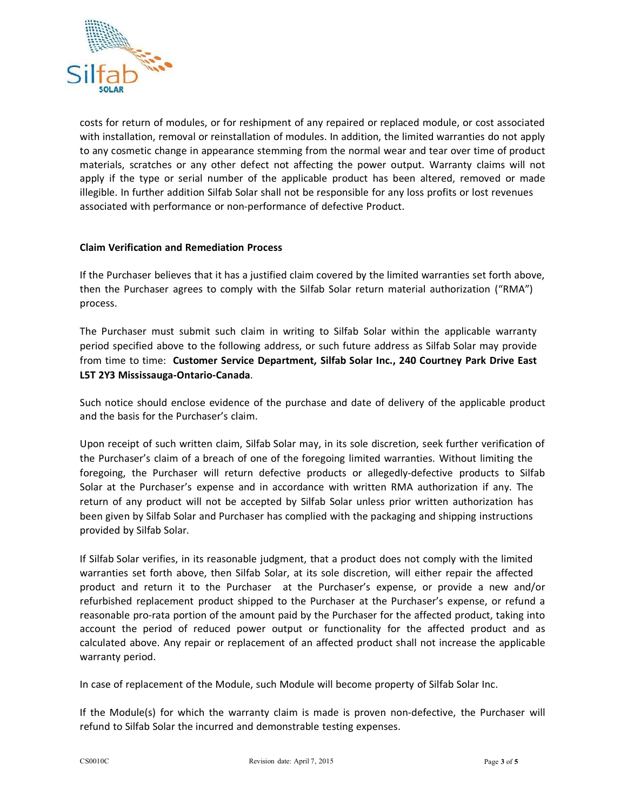

costs for return of modules, or for reshipment of any repaired or replaced module, or cost associated with installation, removal or reinstallation of modules. In addition, the limited warranties do not apply to any cosmetic change in appearance stemming from the normal wear and tear over time of product materials, scratches or any other defect not affecting the power output. Warranty claims will not apply if the type or serial number of the applicable product has been altered, removed or made illegible. In further addition Silfab Solar shall not be responsible for any loss profits or lost revenues associated with performance or non-performance of defective Product.

# **Claim Verification and Remediation Process**

If the Purchaser believes that it has a justified claim covered by the limited warranties set forth above, then the Purchaser agrees to comply with the Silfab Solar return material authorization ("RMA") process.

The Purchaser must submit such claim in writing to Silfab Solar within the applicable warranty period specified above to the following address, or such future address as Silfab Solar may provide from time to time: **Customer Service Department, Silfab Solar Inc., 240 Courtney Park Drive East L5T 2Y3 Mississauga-Ontario-Canada**.

Such notice should enclose evidence of the purchase and date of delivery of the applicable product and the basis for the Purchaser's claim.

Upon receipt of such written claim, Silfab Solar may, in its sole discretion, seek further verification of the Purchaser's claim of a breach of one of the foregoing limited warranties. Without limiting the foregoing, the Purchaser will return defective products or allegedly-defective products to Silfab Solar at the Purchaser's expense and in accordance with written RMA authorization if any. The return of any product will not be accepted by Silfab Solar unless prior written authorization has been given by Silfab Solar and Purchaser has complied with the packaging and shipping instructions provided by Silfab Solar.

If Silfab Solar verifies, in its reasonable judgment, that a product does not comply with the limited warranties set forth above, then Silfab Solar, at its sole discretion, will either repair the affected product and return it to the Purchaser at the Purchaser's expense, or provide a new and/or refurbished replacement product shipped to the Purchaser at the Purchaser's expense, or refund a reasonable pro-rata portion of the amount paid by the Purchaser for the affected product, taking into account the period of reduced power output or functionality for the affected product and as calculated above. Any repair or replacement of an affected product shall not increase the applicable warranty period.

In case of replacement of the Module, such Module will become property of Silfab Solar Inc.

If the Module(s) for which the warranty claim is made is proven non-defective, the Purchaser will refund to Silfab Solar the incurred and demonstrable testing expenses.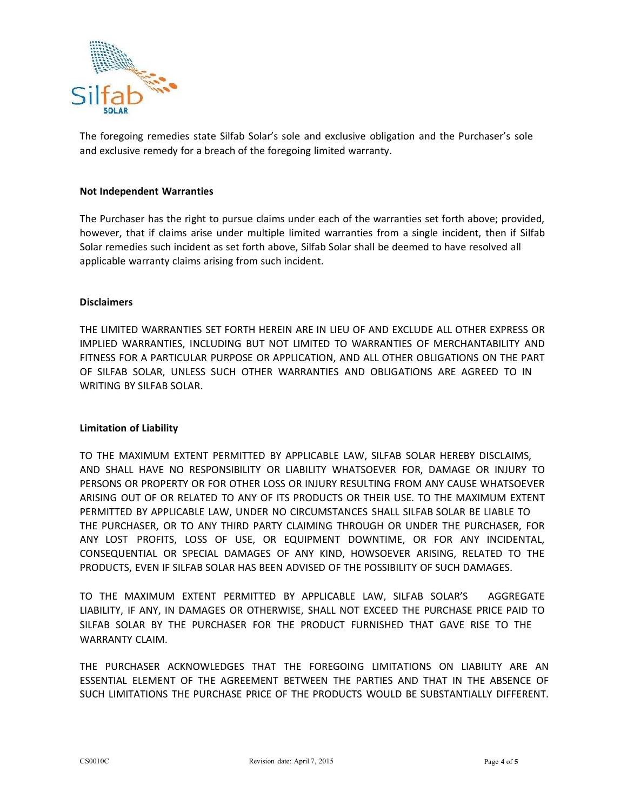

The foregoing remedies state Silfab Solar's sole and exclusive obligation and the Purchaser's sole and exclusive remedy for a breach of the foregoing limited warranty.

# **Not Independent Warranties**

The Purchaser has the right to pursue claims under each of the warranties set forth above; provided, however, that if claims arise under multiple limited warranties from a single incident, then if Silfab Solar remedies such incident as set forth above, Silfab Solar shall be deemed to have resolved all applicable warranty claims arising from such incident.

#### **Disclaimers**

THE LIMITED WARRANTIES SET FORTH HEREIN ARE IN LIEU OF AND EXCLUDE ALL OTHER EXPRESS OR IMPLIED WARRANTIES, INCLUDING BUT NOT LIMITED TO WARRANTIES OF MERCHANTABILITY AND FITNESS FOR A PARTICULAR PURPOSE OR APPLICATION, AND ALL OTHER OBLIGATIONS ON THE PART OF SILFAB SOLAR, UNLESS SUCH OTHER WARRANTIES AND OBLIGATIONS ARE AGREED TO IN WRITING BY SILFAB SOLAR.

# **Limitation of Liability**

TO THE MAXIMUM EXTENT PERMITTED BY APPLICABLE LAW, SILFAB SOLAR HEREBY DISCLAIMS, AND SHALL HAVE NO RESPONSIBILITY OR LIABILITY WHATSOEVER FOR, DAMAGE OR INJURY TO PERSONS OR PROPERTY OR FOR OTHER LOSS OR INJURY RESULTING FROM ANY CAUSE WHATSOEVER ARISING OUT OF OR RELATED TO ANY OF ITS PRODUCTS OR THEIR USE. TO THE MAXIMUM EXTENT PERMITTED BY APPLICABLE LAW, UNDER NO CIRCUMSTANCES SHALL SILFAB SOLAR BE LIABLE TO THE PURCHASER, OR TO ANY THIRD PARTY CLAIMING THROUGH OR UNDER THE PURCHASER, FOR ANY LOST PROFITS, LOSS OF USE, OR EQUIPMENT DOWNTIME, OR FOR ANY INCIDENTAL, CONSEQUENTIAL OR SPECIAL DAMAGES OF ANY KIND, HOWSOEVER ARISING, RELATED TO THE PRODUCTS, EVEN IF SILFAB SOLAR HAS BEEN ADVISED OF THE POSSIBILITY OF SUCH DAMAGES.

TO THE MAXIMUM EXTENT PERMITTED BY APPLICABLE LAW, SILFAB SOLAR'S AGGREGATE LIABILITY, IF ANY, IN DAMAGES OR OTHERWISE, SHALL NOT EXCEED THE PURCHASE PRICE PAID TO SILFAB SOLAR BY THE PURCHASER FOR THE PRODUCT FURNISHED THAT GAVE RISE TO THE WARRANTY CLAIM.

THE PURCHASER ACKNOWLEDGES THAT THE FOREGOING LIMITATIONS ON LIABILITY ARE AN ESSENTIAL ELEMENT OF THE AGREEMENT BETWEEN THE PARTIES AND THAT IN THE ABSENCE OF SUCH LIMITATIONS THE PURCHASE PRICE OF THE PRODUCTS WOULD BE SUBSTANTIALLY DIFFERENT.